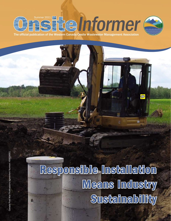# Jnsummer 2011 Tommer 2011

The official publication of the Western Canada Onsite Wastewater Management Association

## Responsible Installation Means Industry **Sustainability**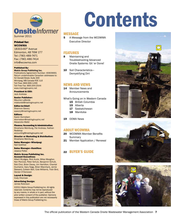

Summer 2011

#### Printed for: WCOWMA

18303-60th Avenue Edmonton, AB T6M 1T7 Tel: (780) 489-7471 Fax: (780) 486-7414 info@wcowma.com

#### Published By:

Matrix Group Publishing Inc. Publications Agreement Number: 40609661 Return undeliverable Canadian addresses to: 52 Donald Street, Suite 300 Winnipeg, MB Canada R3C 1L6 Toll Free: 866-999-1299 Toll Free Fax: 866-244-2544 www.matrixgroupinc.net

President & CEO: Jack Andress

Senior Publisher: Maurice LaBorde *mlaborde@matrixgroupinc.net*

Editor-in-Chief: Shannon Savory *ssavory@matrixgroupinc.net*

Editors: Karen Kornelsen *kkornelsen@matrixgroupinc.net* Alexandra Walld

Finance/Accounting & Administration: Shoshana Weinburg, Pat Andress, Nathan

Redekop *accounting@matrixgroupinc.net*

Director or Marketing & Distribution: Shoshana Weinburg

Sales Manager–Winnipeg: Neil Gottfred

Sales Manager–Hamilton: Jessica Potter

Matrix Group Publishing Inc. Account Executives:

Albert Brydges, Rick Kuzie, Miles Meagher, Ken Percival, Peter Schulz, Benjamin Schutt, Rob Choi, Brian Davey, Jim Hamilton, Chantal Duchaine, Gary Nagy, Brian Macintyre, Jamie Steward, Colleen Bell, Cole Williams, Trish Bird, Declan O'Donovan

Layout & Design:

Cody Chomiak

#### Advertising Design: James Robinson

©2011 Matrix Group Publishing Inc. All rights reserved. Contents may not be reproduced by any means, in whole or in part, without the prior written consent of the publisher. Opinions expressed in this publication are not necessarily those of Matrix Group Publishing Inc.

## Contents

#### MESSAGE

5 A Message from the WCOWMA Executive Director

#### FEATURES

- 8 Maintaining and Troubleshooting Advanced Onsite Systems: Git 'er Done!
- 10 Soil Characteristics-Demystifying Dirt

#### NEWS AND VIEWS

- 14 Member News and Announcements
- What's Going on in Western Canada
	- 15 British Columbia
	- 15 Alberta
	- 17 Saskatchewan
	- 18 Manitoba
- 19 OOWA News

#### ABOUT WCOWMA

- 20 WCOWMA Member Benefits **Summary**
- 21 Member Application / Renewal

#### 22 BUYER'S GUIDE







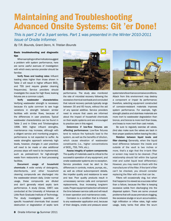### Maintaining and Troubleshooting Advanced Onsite Systems: Git 'er Done!

*This is part 2 of a 3-part series. Part 1 was presented in the Winter 2010-2011 issue of Onsite Informer.* 

*By T.R. Bounds, Grant Denn, N. Tristian Bounds*

#### Basic troubleshooting and diagnostic tips

When sampling or other indicators suggest a problem with system performance, here are some useful avenues of investigation with which every service provider should be familiar.

Verify flows and loading rates: Influent loading rates higher than those shown in Table 2 will result in higher effluent BOD<sub>c</sub> and TSS (and require greater cleaning frequencies). Service providers should investigate the cause for high flows; leaking fixtures are a common culprit.

Verify wastewater characteristics: Verifying wastewater strength is necessary because it's quite common to see huge variations in strength between similar facilities with similar flows, because of the differences in user practices. Typical wastewater characteristics can be found in Table 2 and in Crites and Tchobanoglous 1998. With higher influent strengths, maintenance may increase, although with a diligent service and monitoring program, performance is not expected to suffer. As waste strengths approach extremely high levels, however, *changes in user practices will need to be made or else additional process steps will need to be implemented*, such as pretreatment for high-strength waste from restaurants or food processing facilities.

Document usage of household chemicals: A wide variety of detergents, disinfectants, and other household cleaning compounds are discharged into the wastewater stream daily. Under normal usage, these compounds are diluted and don't generally retard septic tank performance. A study (Gross, 1987) was conducted at the University of Arkansas at Little Rock Graduate Institute of Technology. The study investigated quantities of specific household chemicals that caused destruction or degradation of septic tank



performance. The study also monitored the rate of microbial recovery following the excessive chemical overloads and concluded that natural recovery periods typically range between 30 and 60 hours, without the aid of any special additive. Service providers need to ensure that users are informed about the impact of household chemicals on their septic systems and are encouraged to practice care in this regard.

Determine if low-flow fixtures are affecting performance: Low-flow fixtures tend to reduce the hydraulic load to the system, as well as the benefits of dilution, which cause elevation of wastewater constituents (i.e., higher concentrations of BOD<sub>5</sub>, TSS, TKN, etc.).

Assess integrity of system components: The quality of materials used is critical to the successful operation of any equipment, and onsite wastewater systems are no exception. Service providers must be alert to the differences in controls, motors, pumps, etc., as well as critical subcomponent details, like impeller quality and resistance to wear and tear. Poor quality products result in unnecessary service calls and component replacements, thus increasing long-term costs. Proper equipment selection will extend the time between service calls and will result in lower operation and maintenance costs.

Corrosion is a condition that is inherent to any wastewater application and, because of their designs, onsite and pressure sewer



systems tend to enhance corrosive conditions. Attack from this environment may destroy a component or impair its performance; therefore, selecting equipment constructed of corrosion-resistant materials improves system performance. For example, highstrength plastics and stainless materials are more inert to wastewater degradation than bronze, and bronze is more inert than brass, and brass is more inert than cast metals.

Be sure to regularly exercise all valves. (And also make sure the valves are back in their proper positions before leaving the site.)

Relation between liquid levels and filter cleaning: Generally, when the liquid level difference between the inside and outside of the vault is two inches or more, that's a sign that the in-tank filter or screen may need to be cleaned. (That relationship should fall within the typical inlet and outlet liquid level differential.) However, you may need to check with the manufacturer of the filter. If the tank's filter can't be checked, you should consider replacing the filter with one that can be.

Filters will occasionally clog, but when that happens it is viewed as a success rather than a failure, because the filter is keeping excessive solids from discharging into the dispersal system. There are some unusual problems that will cause premature clogging, like excessive sludge or scum accumulation, high infiltration or inflow rates, high water usage, leaky tanks that allow the scum